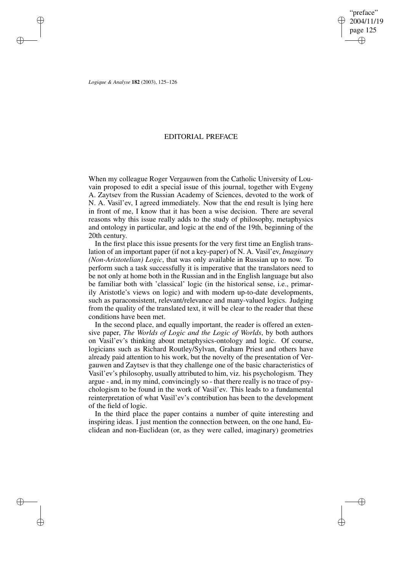"preface" 2004/11/19 page 125 ✐ ✐

✐

✐

*Logique & Analyse* **182** (2003), 125–126

✐

✐

✐

✐

## EDITORIAL PREFACE

When my colleague Roger Vergauwen from the Catholic University of Louvain proposed to edit a special issue of this journal, together with Evgeny A. Zaytsev from the Russian Academy of Sciences, devoted to the work of N. A. Vasil'ev, I agreed immediately. Now that the end result is lying here in front of me, I know that it has been a wise decision. There are several reasons why this issue really adds to the study of philosophy, metaphysics and ontology in particular, and logic at the end of the 19th, beginning of the 20th century.

In the first place this issue presents for the very first time an English translation of an important paper (if not a key-paper) of N. A. Vasil'ev, *Imaginary (Non-Aristotelian) Logic*, that was only available in Russian up to now. To perform such a task successfully it is imperative that the translators need to be not only at home both in the Russian and in the English language but also be familiar both with 'classical' logic (in the historical sense, i.e., primarily Aristotle's views on logic) and with modern up-to-date developments, such as paraconsistent, relevant/relevance and many-valued logics. Judging from the quality of the translated text, it will be clear to the reader that these conditions have been met.

In the second place, and equally important, the reader is offered an extensive paper, *The Worlds of Logic and the Logic of Worlds*, by both authors on Vasil'ev's thinking about metaphysics-ontology and logic. Of course, logicians such as Richard Routley/Sylvan, Graham Priest and others have already paid attention to his work, but the novelty of the presentation of Vergauwen and Zaytsev is that they challenge one of the basic characteristics of Vasil'ev's philosophy, usually attributed to him, viz. his psychologism. They argue - and, in my mind, convincingly so - that there really is no trace of psychologism to be found in the work of Vasil'ev. This leads to a fundamental reinterpretation of what Vasil'ev's contribution has been to the development of the field of logic.

In the third place the paper contains a number of quite interesting and inspiring ideas. I just mention the connection between, on the one hand, Euclidean and non-Euclidean (or, as they were called, imaginary) geometries